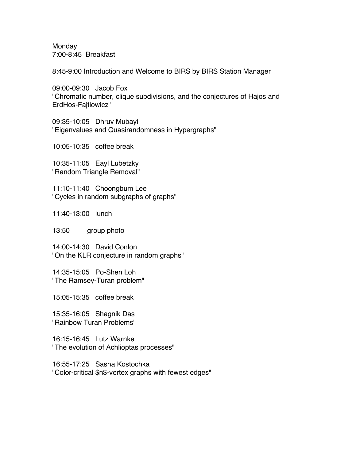Monday 7:00-8:45 Breakfast

8:45-9:00 Introduction and Welcome to BIRS by BIRS Station Manager

09:00-09:30 Jacob Fox "Chromatic number, clique subdivisions, and the conjectures of Hajos and ErdHos-Fajtlowicz"

09:35-10:05 Dhruv Mubayi "Eigenvalues and Quasirandomness in Hypergraphs"

10:05-10:35 coffee break

10:35-11:05 Eayl Lubetzky "Random Triangle Removal"

11:10-11:40 Choongbum Lee "Cycles in random subgraphs of graphs"

11:40-13:00 lunch

13:50 group photo

14:00-14:30 David Conlon "On the KLR conjecture in random graphs"

14:35-15:05 Po-Shen Loh "The Ramsey-Turan problem"

15:05-15:35 coffee break

15:35-16:05 Shagnik Das "Rainbow Turan Problems"

16:15-16:45 Lutz Warnke "The evolution of Achlioptas processes"

16:55-17:25 Sasha Kostochka "Color-critical \$n\$-vertex graphs with fewest edges"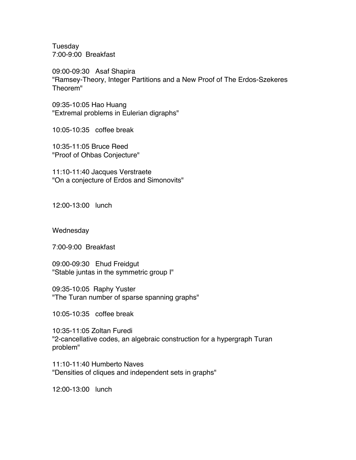Tuesday 7:00-9:00 Breakfast

09:00-09:30 Asaf Shapira "Ramsey-Theory, Integer Partitions and a New Proof of The Erdos-Szekeres Theorem"

09:35-10:05 Hao Huang "Extremal problems in Eulerian digraphs"

10:05-10:35 coffee break

10:35-11:05 Bruce Reed "Proof of Ohbas Conjecture"

11:10-11:40 Jacques Verstraete "On a conjecture of Erdos and Simonovits"

12:00-13:00 lunch

**Wednesday** 

7:00-9:00 Breakfast

09:00-09:30 Ehud Freidgut "Stable juntas in the symmetric group I"

09:35-10:05 Raphy Yuster "The Turan number of sparse spanning graphs"

10:05-10:35 coffee break

10:35-11:05 Zoltan Furedi "2-cancellative codes, an algebraic construction for a hypergraph Turan problem"

11:10-11:40 Humberto Naves "Densities of cliques and independent sets in graphs"

12:00-13:00 lunch